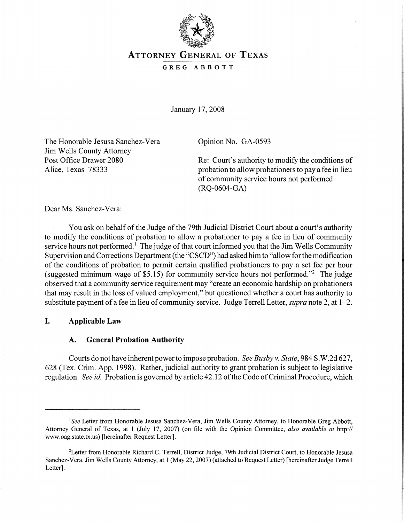

# ATTORNEY GENERAL OF TEXAS GREG ABBOTT

January 17,2008

The Honorable Jesusa Sanchez-Vera Jim Wells County Attorney Post Office Drawer 2080 Alice, Texas 78333

Opinion No. GA-0593

Re: Court's authority to modify the conditions of probation to allow probationers to pay a fee in lieu of community service hours not performed (RQ-0604-GA)

Dear Ms. Sanchez-Vera:

You ask on behalf of the Judge of the 79th Judicial District Court about a court's authority to modify the conditions of probation to allow a probationer to pay a fee in lieu of community service hours not performed.<sup>1</sup> The judge of that court informed you that the Jim Wells Community Supervision and Corrections Department (the "CSCD") had asked him to "allow for the modification of the conditions of probation to permit certain qualified probationers to pay a set fee per hour (suggested minimum wage of \$5.15) for community service hours not performed."<sup>2</sup> The judge observed that a community service requirement may "create an economic hardship on probationers that may result in the loss of valued employment," but questioned whether a court has authority to substitute payment of a fee in lieu of community service. Judge Terrell Letter, *supra* note 2, at 1–2.

# I. Applicable Law

## A. General Probation Authority

Courts do not have inherent powerto impose probation. *See Busby* v. *State,* 984 S.W.2d 627, 628 (Tex. Crim. App. 1998). Rather, judicial authority to grant probation is subject to legislative regulation. *See id.* Probation is governed by article 42.12 of the Code of Criminal Procedure, which

<sup>&</sup>lt;sup>1</sup>See Letter from Honorable Jesusa Sanchez-Vera, Jim Wells County Attorney, to Honorable Greg Abbott, Attorney General of Texas, at 1 (July 17, 2007) (on file with the Opinion Committee, *also available at* http:// www.oag.state.tx.us) [hereinafter Request Letter].

<sup>&</sup>lt;sup>2</sup>Letter from Honorable Richard C. Terrell, District Judge, 79th Judicial District Court, to Honorable Jesusa Sanchez-Vera, Jim Wells County Attorney, at 1 (May 22,2007) (attached to Request Letter) [hereinafter Judge Terrell Letter].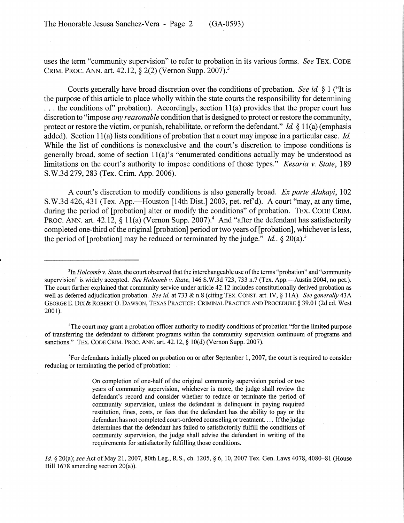uses the term "community supervision" to refer to probation in its various forms. *See* TEX. CODE CRIM. PROC. ANN. art. 42.12, § 2(2)(Vernon Supp. 2007).3

Courts generally have broad discretion over the conditions of probation. *See id.* § 1 ("It is the purpose of this article to place wholly within the state courts the responsibility for determining ... the conditions of' probation). Accordingly, section 11(a) provides that the proper court has discretion to "impose *any reasonable* condition that is designed to protect or restore the community, protect or restore the victim, or punish, rehabilitate, or reform the defendant." *Id.* § 11(a) (emphasis added). Section 11(a) lists conditions of probation that a court may impose in a particular case. *Id.* While the list of conditions is nonexclusive and the court's discretion to impose conditions is generally broad, some of section 11(a)'s "enumerated conditions actually may be understood as limitations on the court's authority to impose conditions of those types." *Kesaria v. State*, 189 S.W.3d 279, 283 (Tex. Crim. App. 2006).

A court's discretion to modify conditions is also generally broad. *Ex parte Alakayi, 102* S.W.3d  $426$ ,  $431$  (Tex. App.—Houston [14th Dist.] 2003, pet. ref'd). A court "may, at any time, during the period of [probation] alter or modify the conditions" of probation. TEX. CODE CRIM. PROC. ANN. art. 42.12, § 11(a) (Vernon Supp. 2007).<sup>4</sup> And "after the defendant has satisfactorily completed one-third of the original [probation] period or two years of [probation], whichever is less, the period of [probation] may be reduced or terminated by the judge." *Id.*,  $\S 20(a)$ .<sup>5</sup>

<sup>4</sup>The court may grant a probation officer authority to modify conditions of probation "for the limited purpose" of transferring the defendant to different programs within the community supervision continuum of programs and sanctions." TEX. CODE CRIM. PROC. ANN. art. 42.12, § 10(d) (Vernon Supp. 2007).

<sup>5</sup>For defendants initially placed on probation on or after September 1, 2007, the court is required to consider reducing or terminating the period of probation:

<sup>&</sup>lt;sup>3</sup>In *Holcomb* v. *State*, the court observed that the interchangeable use of the terms "probation" and "community supervision" is widely accepted. *See Holcomb v. State*, 146 S.W.3d 723, 733 n.7 (Tex. App.—Austin 2004, no pet.). The court further explained that community service under article 42.12 includes constitutionally derived probation as well as deferred adjudication probation. *See id* at 733 & n.8 (citing TEX. CONST. art. IV, § lIA). *See generally* 43A GEORGE E. DIX & ROBERT O. DAWSON, TEXAS PRACTICE: CRIMINAL PRACTICE AND PROCEDURE § 39.01 (2d ed. West 2001).

On completion of one-half of the original community supervision period or two years of community supervision, whichever is more, the judge shall review the defendant's record and consider whether to reduce or terminate the period of community supervision, unless the defendant is delinquent in paying required restitution, fines, costs, or fees that the defendant has the ability to pay or the defendant has not completed court-ordered counseling or treatment.... If the judge determines that the defendant has failed to satisfactorily fulfill the conditions of community supervision, the judge shall advise the defendant in writing of the requirements for satisfactorily fulfilling those conditions.

*Id.* § 20(a); see Act of May 21, 2007, 80th Leg., R.S., ch. 1205, § 6, 10, 2007 Tex. Gen. Laws 4078, 4080–81 (House Bill 1678 amending section 20(a)).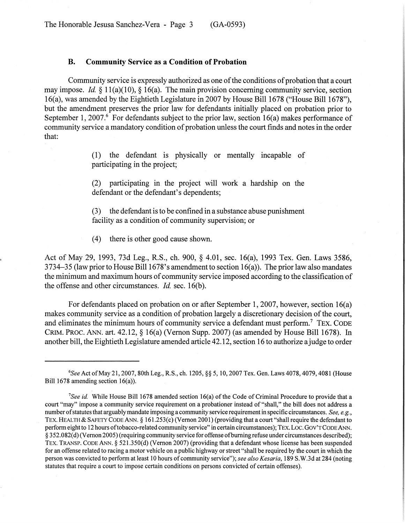#### B. Community Service as a Condition of Probation

Community service is expressly authorized as one of the conditions of probation that a court may impose. *Id.* § 11(a)(10), § 16(a). The main provision concerning community service, section 16(a), was amended by the Eightieth Legislature in 2007 by House Bill 1678 ("House Bill 1678"), but the amendment preserves the prior law for defendants initially placed on probation prior to September 1, 2007.<sup>6</sup> For defendants subject to the prior law, section 16(a) makes performance of community service a mandatory condition of probation unless the court finds and notes in the order that:

> (1) the defendant is physically or mentally incapable of participating in the project;

> (2) participating in the project will work a hardship on the defendant or the defendant's dependents;

> (3) the defendant isto be confined in a substance abuse punishment facility as a condition of community supervision; or

(4) there is other good cause shown.

Act of May 29, 1993, 73d Leg., R.S., ch. 900, § 4.01, sec. 16(a), 1993 Tex. Gen. Laws 3586, 3734-35 (law prior to House Bill 1678's amendment to section 16(a)). The prior law also mandates the minimum and maximum hours of community service imposed according to the classification of the offense and other circumstances. *Id.* sec. 16(b).

For defendants placed on probation on or after September 1, 2007, however, section 16(a) makes community service as a condition of probation largely a discretionary decision of the court, and eliminates the minimum hours of community service a defendant must perform.<sup>7</sup> TEX. CODE CRIM. PROC. ANN. art. 42.12, § 16(a) (Vernon Supp. 2007) (as amended by House Bill 1678). In another bill, the Eightieth Legislature amended article 42.12, section 16 to authorize ajudge to order

*<sup>6</sup>See* Act ofMay 21,2007, 80th Leg., R.S., ch. 1205, §§ 5,10,2007 Tex. Gen. Laws 4078, 4079,4081 (House Bill 1678 amending section 16(a)).

<sup>&</sup>lt;sup>7</sup>See *id.* While House Bill 1678 amended section 16(a) of the Code of Criminal Procedure to provide that a court "may" impose a community service requirement on a probationer instead of "shall," the bill does not address a number of statutes that arguably mandate imposing a community service requirement in specific circumstances. *See, e.g.*, TEX. HEALTH & SAFETY CODE ANN. § 161.253(c) (Vernon 2001) (providing that a court "shall require the defendant to perform eight to 12 hours oftobacco-related community service" in certain circumstances); TEX. Loc. GOV'TCODEANN. § 352.082(d) (Vernon 2005) (requiring community service for offense ofbuming refuse under circumstances described); TEX. TRANSP. CODE ANN. § 521.350(d) (Vernon 2007) (providing that a defendant whose license has been suspended for an offense related to racing a motor vehicle on a public highway or street "shall be required by the court in which the person was convicted to perform at least 10 hours of community service"); *see also Kesaria,* 189 S.W.3d at 284 (noting statutes that require a court to impose certain conditions on persons convicted of certain offenses).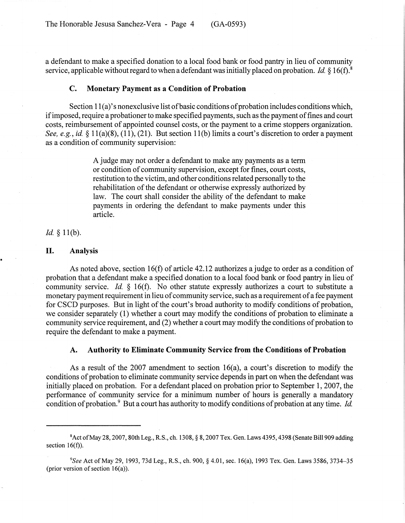The Honorable Jesusa Sanchez-Vera - Page 4 (GA-0593)

a defendant to make a specified donation to a local food bank or food pantry in lieu of community service, applicable without regard to when a defendant was initially placed on probation. *Id.* § 16(f).<sup>8</sup>

#### C. Monetary Payment as a Condition of Probation

Section  $11(a)$ 's nonexclusive list of basic conditions of probation includes conditions which, if imposed, require a probationer to make specified payments, such as the payment of fines and court costs, reimbursement of appointed counsel costs, or the payment to a crime stoppers organization. *See, e.g., id.* § II(a)(8), (11), (21). But section II(b) limits a court's discretion to order a payment as a condition of community supervision:

> A judge may not order a defendant to make any payments as a term or condition of community supervision, except for fines, court costs, restitution to the victim, and other conditions related personally to the rehabilitation of the defendant or otherwise expressly authorized by law. The court shall consider the ability of the defendant to make payments in ordering the defendant to make payments under this article.

*Id.* § 11(b).

# II. Analysis

As noted above, section 16(f) of article 42.12 authorizes a judge to order as a condition of probation that a defendant make a specified donation to a local food bank or food pantry in lieu of community service. *Id.* § 16(f). No other statute expressly authorizes a court to substitute a monetary payment requirement in lieu of community service, such as a requirement of a fee payment for CSCD purposes. But in light of the court's broad authority to modify conditions of probation, we consider separately (1) whether a court may modify the conditions of probation to eliminate a community service requirement, and (2) whether a court may modify the conditions of probation to require the defendant to make a payment.

## A. Authority to Eliminate Community Service from the Conditions of Probation

As a result of the 2007 amendment to section  $16(a)$ , a court's discretion to modify the conditions of probation to eliminate community service depends in part on when the defendant was initially placed on probation. For a defendant placed on probation prior to September 1, 2007, the performance of community service for a minimum number of hours is generally a mandatory condition of probation.<sup>9</sup> But a court has authority to modify conditions of probation at any time. *Id.* 

<sup>&</sup>lt;sup>8</sup> Act of May 28, 2007, 80th Leg., R.S., ch. 1308, § 8, 2007 Tex. Gen. Laws 4395, 4398 (Senate Bill 909 adding section  $16(f)$ ).

<sup>9</sup>S*ee* Act ofMay 29,1993, 73d Leg., R.S., ch. 900, § 4.01, sec. 16(a), 1993 Tex. Gen. Laws 3586,3734-35 (prior version of section  $16(a)$ ).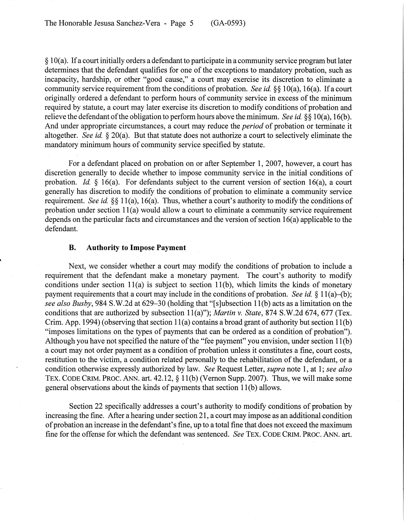$\S 10(a)$ . If a court initially orders a defendant to participate in a community service program but later determines that the defendant qualifies for one of the exceptions to mandatory probation, such as incapacity, hardship, or other "good cause," a court may exercise its discretion to eliminate a community service requirement from the conditions of probation. *See id.* §§ 10(a), 16(a). If a court originally ordered a defendant to perform hours of community service in excess of the minimum required by statute, a court may later exercise its discretion to modify conditions of probation and relieve the defendant ofthe obligation to perform hours above the minimum. *See id.* §§ 10(a), 16(b). And under appropriate circumstances, a court may reduce the *period* of probation or terminate it altogether. *See id.* § 20(a). But that statute does not authorize a court to selectively eliminate the mandatory minimum hours of community service specified by statute.

For a defendant placed on probation on or after September 1, 2007, however, a court has discretion generally to decide whether to impose community service in the initial conditions of probation. *Id.*  $\S$  16(a). For defendants subject to the current version of section 16(a), a court generally has discretion to modify the conditions of probation to eliminate a community service requirement. *See id.* §§ 11(a), 16(a). Thus, whether a court's authority to modify the conditions of probation under section 11(a) would allow a court to eliminate a community service requirement depends on the particular facts and circumstances and the version of section  $16(a)$  applicable to the defendant.

#### B. Authority to Impose Payment

Next, we consider whether a court may modify the conditions of probation to include a requirement that the defendant make a monetary payment. The court's authority to modify conditions under section  $11(a)$  is subject to section  $11(b)$ , which limits the kinds of monetary payment requirements that a court may include in the conditions of probation. *See id.* § 11(a)–(b); *see also Busby,* 984 S.W.2d at 629-30 (holding that "[s]ubsection 11(b) acts as a limitation on the conditions that are authorized by subsection 11(a)"); *Martin* v. *State,* 874 S.W.2d 674, 677 (Tex. Crim. App. 1994) (observing that section  $11(a)$  contains a broad grant of authority but section  $11(b)$ "imposes limitations on the types of payments that can be ordered as a condition of probation"). Although you have not specified the nature of the "fee payment" you envision, under section  $11(b)$ a court may not order payment as a condition of probation unless it constitutes a fine, court costs, restitution to the victim, a condition related personally to the rehabilitation of the defendant, or a condition otherwise expressly authorized by law. *See* Request Letter, *supra* note 1, at 1; *see also* TEX. CODE CRIM. PROC. ANN. art. 42.12, § 11(b) (Vernon Supp. 2007). Thus, we will make some general observations about the kinds of payments that section 11(b) allows.

Section 22 specifically addresses a court's authority to modify conditions of probation by increasing the fine. After a hearing under section 21, a court may impose as an additional condition of probation an increase in the defendant's fine, up to a total fine that does not exceed the maximum fine for the offense for which the defendant was sentenced. *See* TEX. CODE CRIM. PROC. ANN. art.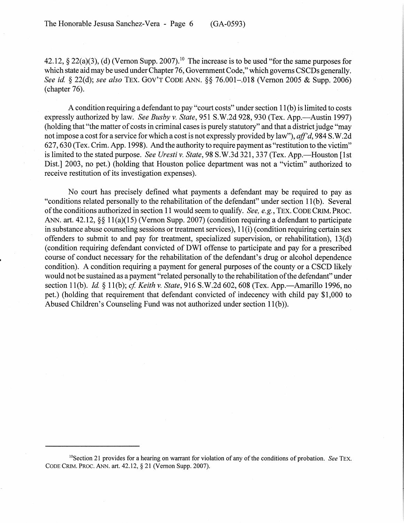42.12, § 22(a)(3), (d) (Vernon Supp. 2007).<sup>10</sup> The increase is to be used "for the same purposes for which state aid may be used under Chapter 76, Government Code," which governs CSCDs generally. *See id.* § 22(d); *see also* TEX. GOV'T CODE ANN. §§ 76.001-.018 (Vernon 2005 & Supp. 2006) (chapter 76).

A condition requiring a defendant to pay "court costs" under section 11 (b) is limited to costs expressly authorized by law. *See Busby v. State*, 951 S.W.2d 928, 930 (Tex. App.—Austin 1997) (holding that "the matter of costs in criminal cases is purely statutory" and that a district judge "may") not impose a cost for a service for which a cost is not expressly provided by law"), *aff'd,* 984 S.W.2d 627, 630 (Tex. Crim. App. 1998). And the authority to require payment as "restitution to the victim" is limited to the stated purpose. *See Uresti v. State*, 98 S.W.3d 321, 337 (Tex. App.—Houston [1st] Dist.] 2003, no pet.) (holding that Houston police department was not a "victim" authorized to receive restitution of its investigation expenses).

No court has precisely defined what payments a defendant may be required to pay as "conditions related personally to the rehabilitation of the defendant" under section 11(b). Several ofthe conditions authorized in section 11 would seem to qualify. *See, e.g.,* TEX. CODECRIM. PROC. ANN. art. 42.12, §§ 11(a)(15) (Vernon Supp. 2007) (condition requiring a defendant to participate in substance abuse counseling sessions or treatment services), 11 (i) (condition requiring certain sex offenders to submit to and pay for treatment, specialized supervision, or rehabilitation), 13(d) (condition requiring defendant convicted of DWI offense to participate and pay for a prescribed course of conduct necessary for the rehabilitation of the defendant's drug or alcohol dependence condition). A condition requiring a payment for general purposes of the county or a CSCD likely would not be sustained as a payment "related personally to the rehabilitation of the defendant" under section 11(b). *Id.* § 11(b); *cf. Keith v. State*, 916 S.W.2d 602, 608 (Tex. App.—Amarillo 1996, no pet.) (holding that requirement that defendant convicted of indecency with child pay \$1,000 to Abused Children's Counseling Fund was not authorized under section 11(b)).

<sup>&</sup>lt;sup>10</sup>Section 21 provides for a hearing on warrant for violation of any of the conditions of probation. *See* TEX. CODE CRIM. PROC. ANN. art. 42.12, § 21 (Vernon Supp. 2007).